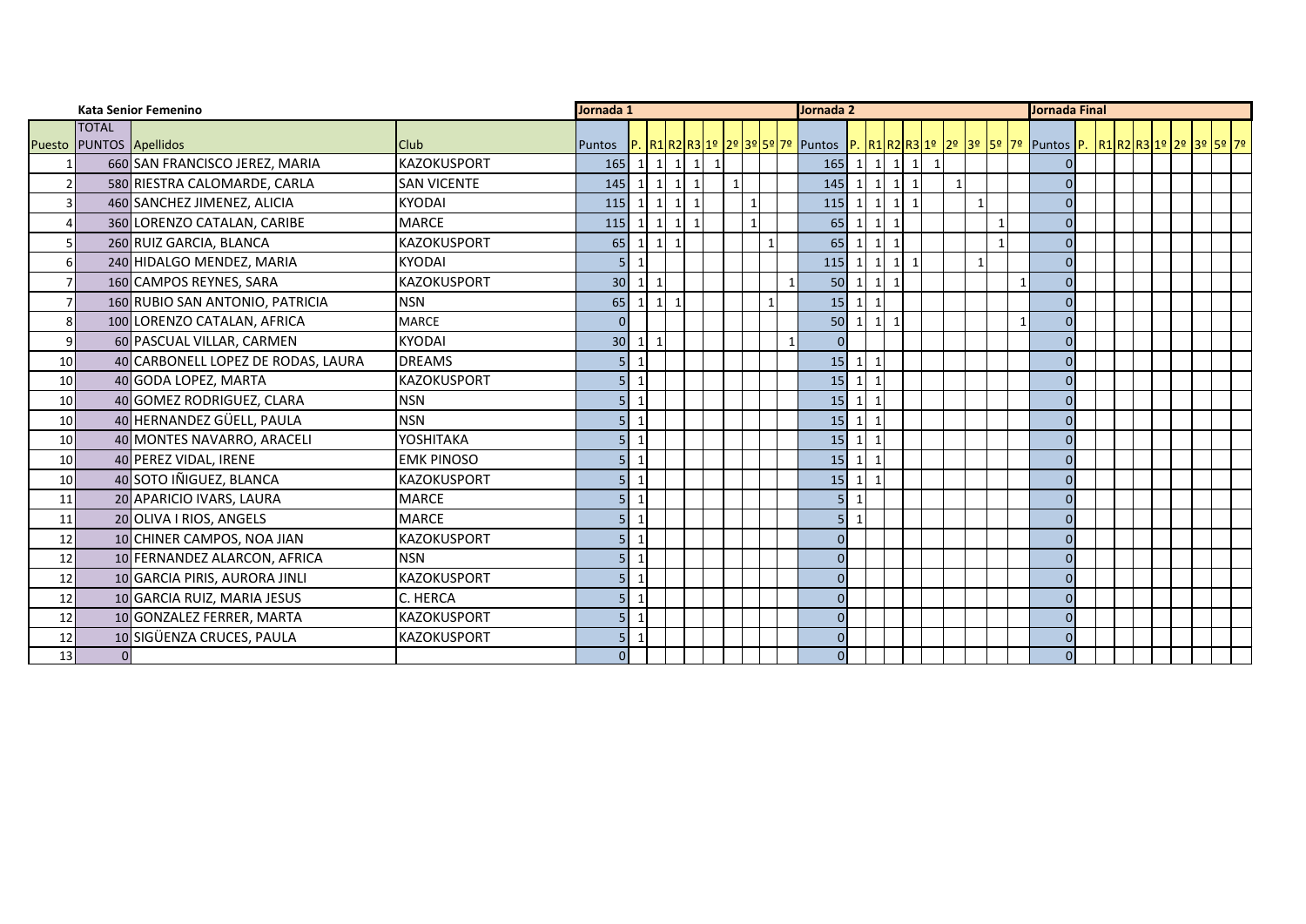|                 | <b>Kata Senior Femenino</b> |                                    |                    | Jornada 1       |                          |                   |                                |                        | Jornada 2   |                |              |  |                                  |                                | <b>Jornada Final</b>        |             |                |              |                |              |                                                                                               |  |  |  |  |  |  |  |
|-----------------|-----------------------------|------------------------------------|--------------------|-----------------|--------------------------|-------------------|--------------------------------|------------------------|-------------|----------------|--------------|--|----------------------------------|--------------------------------|-----------------------------|-------------|----------------|--------------|----------------|--------------|-----------------------------------------------------------------------------------------------|--|--|--|--|--|--|--|
|                 | <b>TOTAL</b>                |                                    |                    |                 |                          |                   |                                |                        |             |                |              |  |                                  |                                |                             |             |                |              |                |              |                                                                                               |  |  |  |  |  |  |  |
|                 | Puesto PUNTOS Apellidos     |                                    | <b>Club</b>        |                 |                          |                   |                                |                        |             |                |              |  |                                  |                                |                             |             |                |              |                |              | Puntos P. R1R2R321º 2º 3º 5º 7º Puntos P. R1R2R31º 2º 3º 5º 7º Puntos P. R1R2R31º 2º 3º 5º 7º |  |  |  |  |  |  |  |
|                 |                             | 660 SAN FRANCISCO JEREZ, MARIA     | <b>KAZOKUSPORT</b> | 165             |                          | $1 \mid 1 \mid 1$ |                                | $\vert$ 1<br>$\vert$ 1 |             |                |              |  | $165$ 1 1 1 1                    |                                |                             |             | 1              |              |                |              |                                                                                               |  |  |  |  |  |  |  |
| $\overline{2}$  |                             | 580 RIESTRA CALOMARDE, CARLA       | <b>SAN VICENTE</b> | 145             | $\vert$ 1                | $\overline{1}$    | $\vert$ 1<br>$\mathbf{1}$      |                        | $\mathbf 1$ |                |              |  | 145                              | $\mathbf{1}$                   | $\vert$ 1                   | $1 \vert 1$ | $\overline{1}$ |              |                |              | $\Omega$                                                                                      |  |  |  |  |  |  |  |
|                 |                             | 460 SANCHEZ JIMENEZ, ALICIA        | <b>KYODAI</b>      | 115             | $\vert$ 1                | 1                 | $\vert$ 1<br>$\mathbf{1}$      |                        |             | $\mathbf{1}$   |              |  | 115                              | $\mathbf 1$                    | $1 \mid 1 \mid 1$           |             |                | $\mathbf{1}$ |                |              | $\Omega$                                                                                      |  |  |  |  |  |  |  |
|                 |                             | 360 LORENZO CATALAN, CARIBE        | <b>MARCE</b>       | 115             | -1                       | 1                 | $\mathbf{1}$<br>$\overline{1}$ |                        |             | $\overline{1}$ |              |  | 65                               | $\mathbf{1}$<br>$\mathbf{1}$   |                             |             |                |              | $\overline{1}$ |              | $\Omega$                                                                                      |  |  |  |  |  |  |  |
| 5               |                             | 260 RUIZ GARCIA, BLANCA            | <b>KAZOKUSPORT</b> | 65              | $\vert$ 1                | 111               |                                |                        |             |                | $\mathbf{1}$ |  | 65                               | $\mathbf{1}$<br>$\vert$ 1      | $\mathbf{1}$                |             |                |              | $\overline{1}$ |              | $\Omega$                                                                                      |  |  |  |  |  |  |  |
| 6               |                             | 240 HIDALGO MENDEZ, MARIA          | <b>KYODAI</b>      | 5               | -1                       |                   |                                |                        |             |                |              |  | 115                              | $\mathbf{1}$<br>1              | $\mathbf{1}$                | 1           |                | $\mathbf 1$  |                |              | n                                                                                             |  |  |  |  |  |  |  |
| $\overline{7}$  |                             | 160 CAMPOS REYNES, SARA            | <b>KAZOKUSPORT</b> | 30              | $\mathbf{1}$             | 1                 |                                |                        |             |                |              |  | 50                               | $\mathbf 1$<br>$\mathbf{1}$    | $\overline{1}$              |             |                |              |                | $\mathbf{1}$ | $\Omega$                                                                                      |  |  |  |  |  |  |  |
| 7               |                             | 160 RUBIO SAN ANTONIO, PATRICIA    | <b>NSN</b>         | 65              |                          | $1 \vert 1$       |                                |                        |             |                | $\mathbf{1}$ |  | 15                               | $\mathbf{1}$<br>$\overline{1}$ |                             |             |                |              |                |              |                                                                                               |  |  |  |  |  |  |  |
| 8               |                             | 100 LORENZO CATALAN, AFRICA        | <b>MARCE</b>       | $\Omega$        |                          |                   |                                |                        |             |                |              |  | 50                               | $\mathbf{1}$                   | $\vert$ 1<br>$\overline{1}$ |             |                |              |                |              | $\Omega$                                                                                      |  |  |  |  |  |  |  |
| 9               |                             | 60 PASCUAL VILLAR, CARMEN          | <b>KYODAI</b>      | 30 <sup>°</sup> | $\vert$ 1                | $\vert$ 1         |                                |                        |             |                |              |  | $\overline{0}$                   |                                |                             |             |                |              |                |              | $\Omega$                                                                                      |  |  |  |  |  |  |  |
| 10 <sup>1</sup> |                             | 40 CARBONELL LOPEZ DE RODAS, LAURA | <b>DREAMS</b>      | 5               |                          |                   |                                |                        |             |                |              |  | 15                               | $\mathbf{1}$<br>$\mathbf{1}$   |                             |             |                |              |                |              |                                                                                               |  |  |  |  |  |  |  |
| 10              |                             | 40 GODA LOPEZ, MARTA               | <b>KAZOKUSPORT</b> | 5               |                          |                   |                                |                        |             |                |              |  | 15<br>$\mathbf{1}$               | $\overline{\phantom{0}}$       |                             |             |                |              |                |              | $\Omega$                                                                                      |  |  |  |  |  |  |  |
| 10 <sup>1</sup> |                             | 40 GOMEZ RODRIGUEZ, CLARA          | <b>NSN</b>         | 5               | $\overline{\phantom{0}}$ |                   |                                |                        |             |                |              |  | 15                               | $\mathbf{1}$<br>$\overline{1}$ |                             |             |                |              |                |              | $\Omega$                                                                                      |  |  |  |  |  |  |  |
| 10 <sup>1</sup> |                             | 40 HERNANDEZ GÜELL, PAULA          | <b>NSN</b>         | 5               | -1                       |                   |                                |                        |             |                |              |  | 15                               | $\mathbf{1}$<br>$\overline{1}$ |                             |             |                |              |                |              | $\Omega$                                                                                      |  |  |  |  |  |  |  |
| 10              |                             | 40 MONTES NAVARRO, ARACELI         | YOSHITAKA          |                 | $\overline{1}$           |                   |                                |                        |             |                |              |  | 15                               | $\mathbf 1$<br>$\overline{1}$  |                             |             |                |              |                |              | n                                                                                             |  |  |  |  |  |  |  |
| 10              |                             | 40 PEREZ VIDAL, IRENE              | <b>EMK PINOSO</b>  | 5               |                          |                   |                                |                        |             |                |              |  | 15                               | $\mathbf{1}$<br>$\overline{1}$ |                             |             |                |              |                |              |                                                                                               |  |  |  |  |  |  |  |
| 10              |                             | 40 SOTO IÑIGUEZ, BLANCA            | <b>KAZOKUSPORT</b> | 5               |                          |                   |                                |                        |             |                |              |  | 15                               | $\mathbf{1}$                   |                             |             |                |              |                |              | $\Omega$                                                                                      |  |  |  |  |  |  |  |
| 11              |                             | 20 APARICIO IVARS, LAURA           | <b>MARCE</b>       |                 |                          |                   |                                |                        |             |                |              |  | 5 <sup>1</sup><br>$\overline{1}$ |                                |                             |             |                |              |                |              | $\Omega$                                                                                      |  |  |  |  |  |  |  |
| 11              |                             | 20 OLIVA I RIOS, ANGELS            | <b>MARCE</b>       | 5               | $\mathbf{1}$             |                   |                                |                        |             |                |              |  | $\mathbf{1}$<br>5 <sub>1</sub>   |                                |                             |             |                |              |                |              |                                                                                               |  |  |  |  |  |  |  |
| 12              |                             | 10 CHINER CAMPOS, NOA JIAN         | <b>KAZOKUSPORT</b> | 5               |                          |                   |                                |                        |             |                |              |  | $\Omega$                         |                                |                             |             |                |              |                |              | U                                                                                             |  |  |  |  |  |  |  |
| 12              |                             | 10 FERNANDEZ ALARCON, AFRICA       | <b>NSN</b>         | 5               |                          |                   |                                |                        |             |                |              |  | $\Omega$                         |                                |                             |             |                |              |                |              | $\Omega$                                                                                      |  |  |  |  |  |  |  |
| 12              |                             | 10 GARCIA PIRIS, AURORA JINLI      | <b>KAZOKUSPORT</b> | 5               | $\overline{1}$           |                   |                                |                        |             |                |              |  | $\overline{0}$                   |                                |                             |             |                |              |                |              | $\Omega$                                                                                      |  |  |  |  |  |  |  |
| 12              |                             | 10 GARCIA RUIZ, MARIA JESUS        | C. HERCA           | 5               | $\mathbf{1}$             |                   |                                |                        |             |                |              |  | $\Omega$                         |                                |                             |             |                |              |                |              | n                                                                                             |  |  |  |  |  |  |  |
| 12              |                             | 10 GONZALEZ FERRER, MARTA          | <b>KAZOKUSPORT</b> | 5               |                          |                   |                                |                        |             |                |              |  | $\Omega$                         |                                |                             |             |                |              |                |              |                                                                                               |  |  |  |  |  |  |  |
| 12              |                             | 10 SIGÜENZA CRUCES, PAULA          | <b>KAZOKUSPORT</b> | 5               |                          |                   |                                |                        |             |                |              |  | $\Omega$                         |                                |                             |             |                |              |                |              | $\Omega$                                                                                      |  |  |  |  |  |  |  |
| 13              |                             |                                    |                    | $\Omega$        |                          |                   |                                |                        |             |                |              |  | $\Omega$                         |                                |                             |             |                |              |                |              | $\overline{0}$                                                                                |  |  |  |  |  |  |  |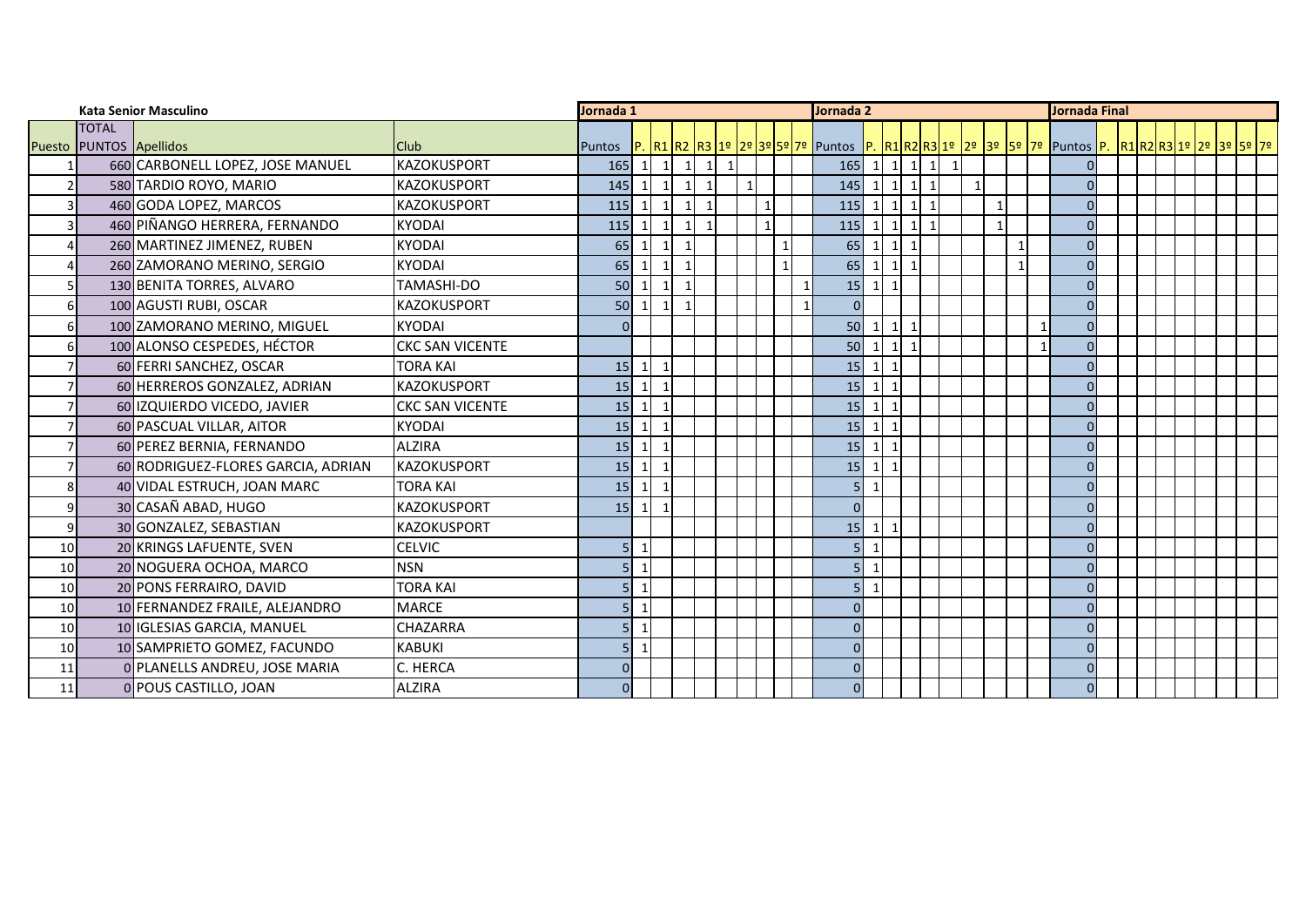|                | <b>Kata Senior Masculino</b> |                                    |                        | Jornada 1 |                          |                |           |                |              | Jornada 2    |              |              |                                                                                                                                                           |                         |                   | Jornada Final |              |              |              |          |  |  |  |  |  |  |  |
|----------------|------------------------------|------------------------------------|------------------------|-----------|--------------------------|----------------|-----------|----------------|--------------|--------------|--------------|--------------|-----------------------------------------------------------------------------------------------------------------------------------------------------------|-------------------------|-------------------|---------------|--------------|--------------|--------------|----------|--|--|--|--|--|--|--|
|                | <b>TOTAL</b>                 |                                    |                        |           |                          |                |           |                |              |              |              |              |                                                                                                                                                           |                         |                   |               |              |              |              |          |  |  |  |  |  |  |  |
|                | Puesto PUNTOS Apellidos      |                                    | <b>Club</b>            | Puntos    |                          |                |           |                |              |              |              |              | P. <mark>R1 R2 R3  1º  2º 3º 5º 7º  </mark> Puntos  P. <mark>R1 R2 R3  1º  2º  3º  5º  7º  </mark> Puntos <mark> P.  R1 R2  R3  1º  2º  3º  5º  7º</mark> |                         |                   |               |              |              |              |          |  |  |  |  |  |  |  |
|                |                              | 660 CARBONELL LOPEZ, JOSE MANUEL   | <b>KAZOKUSPORT</b>     | 165       | $\mathbf{1}$             | $\mathbf 1$    | $\vert$ 1 | $\mathbf{1}$   | $\mathbf{1}$ |              |              |              | 165<br>$\mathbf{1}$                                                                                                                                       |                         | $1 \mid 1 \mid 1$ |               | $\mathbf{1}$ |              |              |          |  |  |  |  |  |  |  |
| $\overline{2}$ |                              | 580 TARDIO ROYO, MARIO             | <b>KAZOKUSPORT</b>     | 145       | $\overline{1}$           | $\mathbf{1}$   | $\vert$ 1 | $\overline{1}$ |              | $\mathbf 1$  |              |              | $\mathbf{1}$<br>145                                                                                                                                       | $\vert$ 1               | 1                 | $\mathbf{1}$  |              | $\mathbf{1}$ |              |          |  |  |  |  |  |  |  |
| $\overline{3}$ |                              | 460 GODA LOPEZ, MARCOS             | <b>KAZOKUSPORT</b>     | 115       | $\overline{1}$           | $\mathbf{1}$   | $\vert$ 1 | $\mathbf{1}$   |              | $\mathbf{1}$ |              |              | $115$ 1                                                                                                                                                   | $\vert$ 1               |                   | $1 \vert 1$   |              | 1            |              | O        |  |  |  |  |  |  |  |
| $\overline{3}$ |                              | 460 PIÑANGO HERRERA, FERNANDO      | <b>KYODAI</b>          | 115       | -1                       | $\mathbf{1}$   | $\vert$ 1 | $\overline{1}$ |              | $\mathbf{1}$ |              |              | $\mathbf{1}$<br>115                                                                                                                                       | $\vert$ 1               |                   | $1 \vert 1$   |              | $\mathbf{1}$ |              | $\Omega$ |  |  |  |  |  |  |  |
| $\overline{4}$ |                              | 260 MARTINEZ JIMENEZ, RUBEN        | <b>KYODAI</b>          | 65        |                          | $\mathbf{1}$   |           |                |              |              | $\mathbf{1}$ |              | 65<br>$\mathbf{1}$                                                                                                                                        | $\mathbf{1}$            |                   |               |              |              |              | $\Omega$ |  |  |  |  |  |  |  |
| $\overline{4}$ |                              | 260 ZAMORANO MERINO, SERGIO        | <b>KYODAI</b>          | 65        | 1                        | $\mathbf{1}$   | $\vert$ 1 |                |              |              | $\mathbf{1}$ |              | 65<br>$\mathbf{1}$                                                                                                                                        | $\vert$ 1               |                   |               |              |              |              | $\Omega$ |  |  |  |  |  |  |  |
| 5              |                              | 130 BENITA TORRES, ALVARO          | TAMASHI-DO             | 50        | $\mathbf{1}$             | $\mathbf{1}$   | $\vert$ 1 |                |              |              |              | $\mathbf{1}$ | $\vert$ 1<br>15                                                                                                                                           | $\mathbf{1}$            |                   |               |              |              |              | $\Omega$ |  |  |  |  |  |  |  |
| 6              |                              | 100 AGUSTI RUBI, OSCAR             | <b>KAZOKUSPORT</b>     | 50        | $1 \mid 1$               |                | $\vert$ 1 |                |              |              |              | $\mathbf{1}$ | $\overline{0}$                                                                                                                                            |                         |                   |               |              |              |              | $\Omega$ |  |  |  |  |  |  |  |
| 6              |                              | 100 ZAMORANO MERINO, MIGUEL        | <b>KYODAI</b>          |           |                          |                |           |                |              |              |              |              | $\mathbf{1}$<br>50                                                                                                                                        | $\vert$ 1               |                   |               |              |              |              | $\Omega$ |  |  |  |  |  |  |  |
| 6              |                              | 100 ALONSO CESPEDES, HÉCTOR        | <b>CKC SAN VICENTE</b> |           |                          |                |           |                |              |              |              |              | $\overline{1}$<br>50                                                                                                                                      | $\vert$ 1               |                   |               |              |              | $\mathbf{1}$ | $\Omega$ |  |  |  |  |  |  |  |
|                |                              | 60 FERRI SANCHEZ, OSCAR            | TORA KAI               | 15        | $\vert$ 1                | $\mathbf{1}$   |           |                |              |              |              |              | $\mathbf{1}$<br>15                                                                                                                                        | $\overline{\mathbf{1}}$ |                   |               |              |              |              |          |  |  |  |  |  |  |  |
| $\overline{7}$ |                              | 60 HERREROS GONZALEZ, ADRIAN       | <b>KAZOKUSPORT</b>     | 15        | $1 \vert 1$              |                |           |                |              |              |              |              | $\mathbf{1}$<br>15                                                                                                                                        | $\overline{1}$          |                   |               |              |              |              | $\Omega$ |  |  |  |  |  |  |  |
|                |                              | 60 IZQUIERDO VICEDO, JAVIER        | <b>CKC SAN VICENTE</b> | 15        | $\mathbf{1}$             | $\overline{1}$ |           |                |              |              |              |              | $\mathbf{1}$<br>15                                                                                                                                        |                         |                   |               |              |              |              | $\Omega$ |  |  |  |  |  |  |  |
| $\overline{7}$ |                              | 60 PASCUAL VILLAR, AITOR           | <b>KYODAI</b>          | 15        | $\mathbf{1}$             | $\overline{1}$ |           |                |              |              |              |              | 15<br>$\mathbf{1}$                                                                                                                                        |                         |                   |               |              |              |              | $\Omega$ |  |  |  |  |  |  |  |
|                |                              | 60 PEREZ BERNIA, FERNANDO          | <b>ALZIRA</b>          | 15        | $\vert$ 1                | $\mathbf{1}$   |           |                |              |              |              |              | $\mathbf{1}$<br>15                                                                                                                                        |                         |                   |               |              |              |              | $\Omega$ |  |  |  |  |  |  |  |
| $\overline{7}$ |                              | 60 RODRIGUEZ-FLORES GARCIA, ADRIAN | <b>IKAZOKUSPORT</b>    | 15        | $1\vert$                 | $\mathbf{1}$   |           |                |              |              |              |              | 15<br>$\mathbf{1}$                                                                                                                                        |                         |                   |               |              |              |              | $\Omega$ |  |  |  |  |  |  |  |
| 8 <sup>1</sup> |                              | 40 VIDAL ESTRUCH, JOAN MARC        | <b>TORA KAI</b>        | 15        | $\vert$ 1                | $\mathbf{1}$   |           |                |              |              |              |              | 5 <sub>l</sub><br>$\mathbf{1}$                                                                                                                            |                         |                   |               |              |              |              | $\Omega$ |  |  |  |  |  |  |  |
| $\overline{9}$ |                              | 30 CASAÑ ABAD, HUGO                | <b>KAZOKUSPORT</b>     | 15        | $\vert$ 1                | $\overline{1}$ |           |                |              |              |              |              | $\overline{0}$                                                                                                                                            |                         |                   |               |              |              |              | $\Omega$ |  |  |  |  |  |  |  |
| 9              |                              | 30 GONZALEZ, SEBASTIAN             | <b>KAZOKUSPORT</b>     |           |                          |                |           |                |              |              |              |              | $\mathbf{1}$<br>15                                                                                                                                        |                         |                   |               |              |              |              | $\Omega$ |  |  |  |  |  |  |  |
| 10             |                              | 20 KRINGS LAFUENTE, SVEN           | <b>CELVIC</b>          | 5         | $\mathbf{1}$             |                |           |                |              |              |              |              | $\overline{1}$<br>5 <sub>l</sub>                                                                                                                          |                         |                   |               |              |              |              | $\Omega$ |  |  |  |  |  |  |  |
| 10             |                              | 20 NOGUERA OCHOA, MARCO            | <b>NSN</b>             | 5         | -1                       |                |           |                |              |              |              |              | $\overline{1}$<br>5 <sub>l</sub>                                                                                                                          |                         |                   |               |              |              |              |          |  |  |  |  |  |  |  |
| 10             |                              | 20 PONS FERRAIRO, DAVID            | <b>TORA KAI</b>        | 5         | -1                       |                |           |                |              |              |              |              | $\overline{1}$<br>5 <sub>l</sub>                                                                                                                          |                         |                   |               |              |              |              |          |  |  |  |  |  |  |  |
| 10             |                              | 10 FERNANDEZ FRAILE, ALEJANDRO     | <b>MARCE</b>           |           | $\overline{\phantom{a}}$ |                |           |                |              |              |              |              | $\Omega$                                                                                                                                                  |                         |                   |               |              |              |              |          |  |  |  |  |  |  |  |
| 10             |                              | 10 IGLESIAS GARCIA, MANUEL         | <b>CHAZARRA</b>        | 5         | $\overline{\phantom{a}}$ |                |           |                |              |              |              |              | $\overline{0}$                                                                                                                                            |                         |                   |               |              |              |              | U        |  |  |  |  |  |  |  |
| 10             |                              | 10 SAMPRIETO GOMEZ, FACUNDO        | <b>KABUKI</b>          | 5         | -1                       |                |           |                |              |              |              |              | $\Omega$                                                                                                                                                  |                         |                   |               |              |              |              |          |  |  |  |  |  |  |  |
| 11             |                              | 0 PLANELLS ANDREU, JOSE MARIA      | C. HERCA               |           |                          |                |           |                |              |              |              |              | $\Omega$                                                                                                                                                  |                         |                   |               |              |              |              |          |  |  |  |  |  |  |  |
| 11             |                              | 0 POUS CASTILLO, JOAN              | <b>ALZIRA</b>          | $\Omega$  |                          |                |           |                |              |              |              |              | $\overline{0}$                                                                                                                                            |                         |                   |               |              |              |              | $\Omega$ |  |  |  |  |  |  |  |